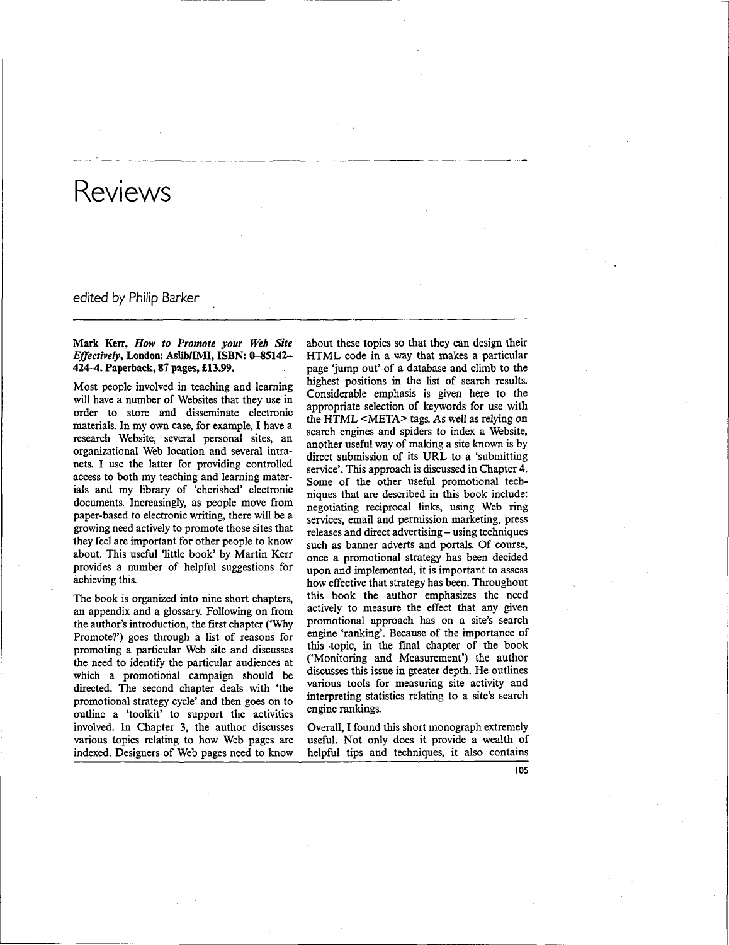# edited by Philip Barker

# **Mark Kerr,** *How to Promote your Web Site Effectively,* **London: Aslib/IMI, ISBN: 0-85142- 424-4. Paperback, 87 pages, £13.99.**

Most people involved in teaching and learning will have a number of Websites that they use in order to store and disseminate electronic materials. In my own case, for example, I have a research Website, several personal sites, an organizational Web location and several intranets. I use the latter for providing controlled access to both my teaching and learning materials and my library of 'cherished' electronic documents. Increasingly, as people move from paper-based to electronic writing, there will be a growing need actively to promote those sites that they feel are important for other people to know about. This useful 'little book' by Martin Kerr provides a number of helpful suggestions for achieving this.

The book is organized into nine short chapters, an appendix and a glossary. Following on from the author's introduction, the first chapter ('Why Promote?') goes through a list of reasons for promoting a particular Web site and discusses the need to identify the particular audiences at which a promotional campaign should be directed. The second chapter deals with 'the promotional strategy cycle' and then goes on to outline a 'toolkit' to support the activities involved. In Chapter 3, the author discusses various topics relating to how Web pages are indexed. Designers of Web pages need to know

about these topics so that they can design their HTML code in a way that makes a particular page 'jump out' of a database and climb to the highest positions in the list of search results. Considerable emphasis is given here to the appropriate selection of keywords for use with the HTML <META> tags. As well as relying on search engines and spiders to index a Website, another useful way of making a site known is by direct submission of its URL to a 'submitting service'. This approach is discussed in Chapter 4. Some of the other useful promotional techniques that are described in this book include: negotiating reciprocal links, using Web ring services, email and permission marketing, press releases and direct advertising - using techniques such as banner adverts and portals. Of course, once a promotional strategy has been decided upon and implemented, it is important to assess how effective that strategy has been. Throughout this book the author emphasizes the need actively to measure the effect that any given promotional approach has on a site's search engine 'ranking'. Because of the importance of this topic, in the final chapter of the book ('Monitoring and Measurement') the author discusses this issue in greater depth. He outlines various tools for measuring site activity and interpreting statistics relating to a site's search engine rankings.

Overall, I found this short monograph extremely useful. Not only does it provide a wealth of helpful tips and techniques, it also contains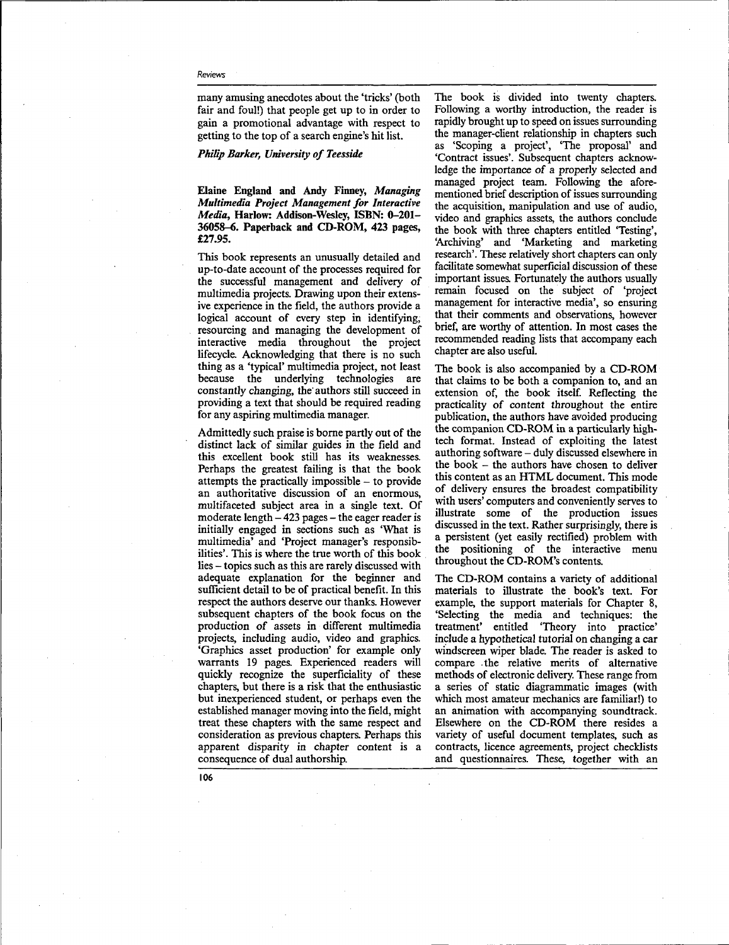many amusing anecdotes about the 'tricks' (both fair and foul!) that people get up to in order to gain a promotional advantage with respect to getting to the top of a search engine's hit list.

## *Philip Barker, University of Teesside*

**Elaine England and Andy Finney,** *Managing Multimedia Project Management for Interactive Media,* **Harlow: Addison-Wesley, ISBN: 0-201- 36058-6. Paperback and CD-ROM, 423 pages, £27.95.**

This book represents an unusually detailed and up-to-date account of the processes required for the successful management and delivery of multimedia projects. Drawing upon their extensive experience in the field, the authors provide a logical account of every step in identifying. resourcing and managing the development of interactive media throughout the project lifecycle. Acknowledging that there is no such thing as a 'typical' multimedia project, not least because the underlying technologies are constantly changing, the' authors still succeed in providing a text that should be required reading for any aspiring multimedia manager.

Admittedly such praise is borne partly out of the distinct lack of similar guides in the field and this excellent book still has its weaknesses. Perhaps the greatest failing is that the book attempts the practically impossible - to provide an authoritative discussion of an enormous, multifaceted subject area in a single text. Of moderate length  $-423$  pages  $-$  the eager reader is initially engaged in sections such as 'What is multimedia' and 'Project manager's responsibilities'. This is where the true worth of this book lies - topics such as this are rarely discussed with adequate explanation for the beginner and sufficient detail to be of practical benefit. In this respect the authors deserve our thanks. However subsequent chapters of the book focus on the production of assets in different multimedia projects, including audio, video and graphics. 'Graphics asset production' for example only warrants 19 pages. Experienced readers will quickly recognize the superficiality of these chapters, but there is a risk that the enthusiastic but inexperienced student, or perhaps even the established manager moving into the field, might treat these chapters with the same respect and consideration as previous chapters. Perhaps this apparent disparity in chapter content is a consequence of dual authorship.

The book is divided into twenty chapters. Following a worthy introduction, the reader is rapidly brought up to speed on issues surrounding the manager-client relationship in chapters such as 'Scoping a project', "The proposal' and 'Contract issues'. Subsequent chapters acknowledge the importance *of* a properly selected and managed project team. Following the aforementioned brief description of issues surrounding the acquisition, manipulation and use of audio, video and graphics assets, the authors conclude the book with three chapters entitled 'Testing', 'Archiving' and 'Marketing and marketing research'. These relatively short chapters can only facilitate somewhat superficial discussion of these important issues. Fortunately the authors usually remain focused on the subject of 'project management for interactive media', so ensuring that their comments and observations, however brief, are worthy of attention. In most cases the recommended reading lists that accompany each chapter are also useful.

The book is also accompanied by a CD-ROM that claims to be both a companion to, and an extension of, the book itself. Reflecting the practicality of content throughout the entire publication, the authors have avoided producing the companion CD-ROM in a particularly hightech format. Instead of exploiting the latest authoring software - duly discussed elsewhere in the book - the authors have chosen to deliver this content as an HTML document. This mode of delivery ensures the broadest compatibility with users' computers and conveniently serves to illustrate some of the production issues discussed in the text. Rather surprisingly, there is a persistent (yet easily rectified) problem with the positioning of the interactive menu throughout the CD-ROM's contents.

The CD-ROM contains a variety of additional materials to illustrate the book's text. For example, the support materials for Chapter 8, 'Selecting the media and techniques: the treatment' entitled "Theory into practice' include a hypothetical tutorial on changing a car windscreen wiper blade. The reader is asked to compare the relative merits of alternative methods of electronic delivery. These range from a series of static diagrammatic images (with which most amateur mechanics are familiar!) to an animation with accompanying soundtrack. Elsewhere on the CD-ROM there resides a variety of useful document templates, such as contracts, licence agreements, project checklists and questionnaires. These, together with an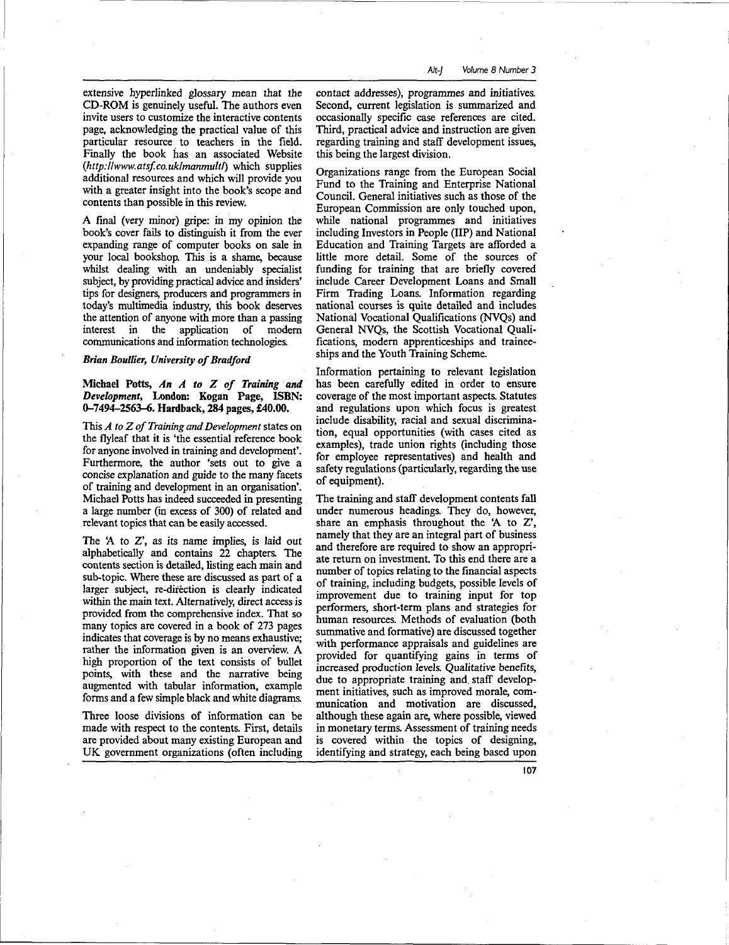extensive hyperlinked glossary mean that the CD-ROM is genuinely useful. The authors even invite users to customize the interactive contents page, acknowledging the practical value of this particular resource to teachers in the field. Finally the book has an associated Website *(http:llwww.atsf.co.uklmanmultf)* which supplies additional resources and which will provide you with a greater insight into the book's scope and contents than possible in this review.

A final (very minor) gripe: in my opinion the book's cover fails to distinguish it from the ever expanding range of computer books on sale in your local bookshop. This is a shame, because whilst dealing with an undeniably specialist subject, by providing practical advice and insiders' tips for designers, producers and programmers in today's multimedia industry, this book deserves the attention of anyone with more than a passing interest in the application of modern communications and information technologies.

## *Brian Boullier, University of Bradford*

## **Michael Potts,** *An A to Z of Training and Development,* **London: Kogan Page, ISBN: 0-7494-2563-6. Hardback, 284 pages, £40.00.**

This *A to Z of Training and Development* states on the flyleaf that it is 'the essential reference book for anyone involved in training and development'. Furthermore, the author 'sets out to give a concise explanation and guide to the many facets of training and development in an organisation'. Michael Potts has indeed succeeded in presenting a large number (in excess of 300) of related and relevant topics that can be easily accessed.

The 'A to Z', as its name implies, is laid out alphabetically and contains 22 chapters. The contents section is detailed, listing each main and sub-topic. Where these are discussed as part of a larger subject, re-direction is clearly indicated within the main text. Alternatively, direct access is provided from the comprehensive index. That so many topics are covered in a book of 273 pages indicates that coverage is by no means exhaustive; rather the information given is an overview. A high proportion of the text consists of bullet points, with these and the narrative being augmented with tabular information, example forms and a few simple black and white diagrams.

Three loose divisions of information can be made with respect to the contents. First, details are provided about many existing European and UK government organizations (often including contact addresses), programmes and initiatives. Second, current legislation is summarized and occasionally specific case references are cited. Third, practical advice and instruction are given regarding training and staff development issues, this being the largest division.

Organizations range from the European Social Fund to the Training and Enterprise National Council. General initiatives such as those of the European Commission are only touched upon, while national programmes and initiatives including Investors in People (IIP) and National Education and Training Targets are afforded a little more detail. Some of the sources of funding for training that are briefly covered include Career Development Loans and Small Firm Trading Loans. Information regarding national courses is quite detailed and includes National Vocational Qualifications (NVQs) and General NVQs, the Scottish Vocational Qualifications, modern apprenticeships and traineeships and the Youth Training Scheme.

Information pertaining to relevant legislation has been carefully edited in order to ensure coverage of the most important aspects. Statutes and regulations upon which focus is greatest include disability, racial and sexual discrimination, equal opportunities (with cases cited as examples), trade union rights (including those for employee representatives) and health and safety regulations (particularly, regarding the use of equipment).

The training and staff development contents fall under numerous headings. They do, however, share an emphasis throughout the 'A to Z', namely that they are an integral part of business and therefore are required to show an appropriate return on investment. To this end there are a number of topics relating to the financial aspects of training, including budgets, possible levels of improvement due to training input for top performers, short-term plans and strategies for human resources. Methods of evaluation (both summative and formative) are discussed together with performance appraisals and guidelines are provided for quantifying gains in terms of increased production levels. Qualitative benefits, due to appropriate training and. staff development initiatives, such as improved morale, communication and motivation are discussed, although these again are, where possible, viewed in monetary terms. Assessment of training needs is covered within the topics of designing, identifying and strategy, each being based upon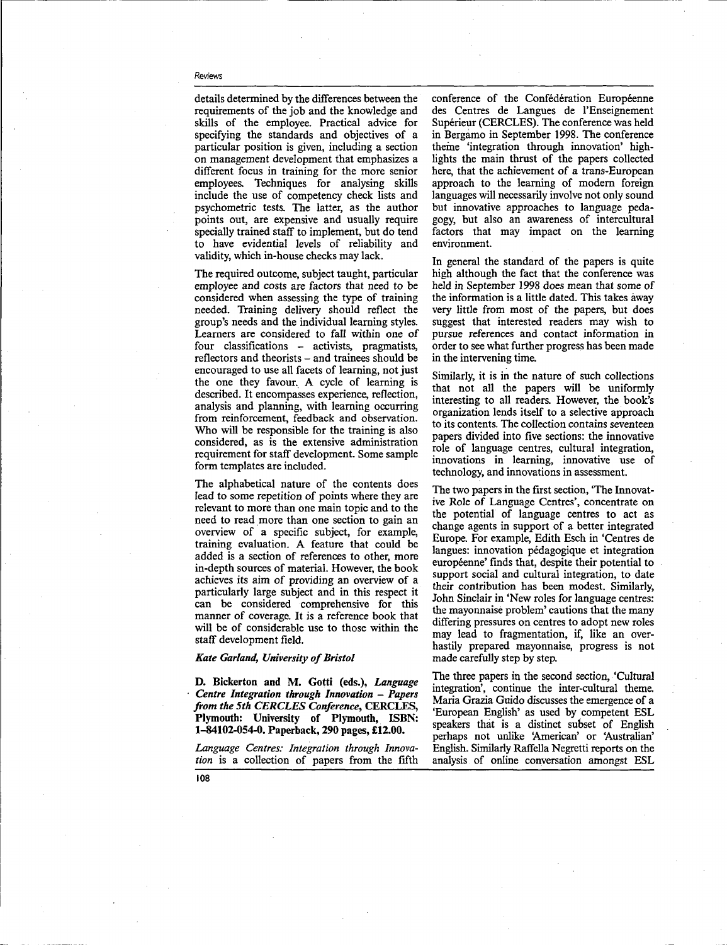details determined by the differences between the requirements of the job and the knowledge and skills of the employee. Practical advice for specifying the standards and objectives of a particular position is given, including a section on management development that emphasizes a different focus in training for the more senior employees. Techniques for analysing skills include the use of competency check lists and psychometric tests. The latter, as the author points out, are expensive and usually require specially trained staff to implement, but do tend to have evidential levels of reliability and validity, which in-house checks may lack.

The required outcome, subject taught, particular employee and costs are factors that need to be considered when assessing the type of training needed. Training delivery should reflect the group's needs and the individual learning styles. Learners are considered to fall within one of four classifications - activists, pragmatists, reflectors and theorists - and trainees should be encouraged to use all facets of learning, not just the one they favour. A cycle of learning is described. It encompasses experience, reflection, analysis and planning, with learning occurring from reinforcement, feedback and observation. Who will be responsible for the training is also considered, as is the extensive administration requirement for staff development. Some sample form templates are included.

The alphabetical nature of the contents does lead to some repetition of points where they are relevant to more than one main topic and to the need to read more than one section to gain an overview of a specific subject, for example, training evaluation. A feature that could be added is a section of references to other, more in-depth sources of material. However, the book achieves its aim of providing an overview of a particularly large subject and in this respect it can be considered comprehensive for this manner of coverage. It is a reference book that will be of considerable use to those within the staff development field.

## *Kate Garland, University of Bristol*

**D. Bickerton and M. Gotti (eds.),** *Language Centre Integration through Innovation — Papers from the 5th CERCLES Conference,* **CERCLES, Plymouth: University of Plymouth, ISBN: 1-84102-054-0. Paperback, 290 pages, £12.00.**

*Language Centres: Integration through Innovation* is a collection of papers from the fifth conference of the Confédération Européenne des Centres de Langues de l'Enseignement Supérieur (CERCLES). The conference was held in Bergamo in September 1998. The conference theme 'integration through innovation' highlights the main thrust of the papers collected here, that the achievement of a trans-European approach to the learning of modern foreign languages will necessarily involve not only sound but innovative approaches to language pedagogy, but also an awareness of intercultural factors that may impact on the learning environment.

In general the standard of the papers is quite high although the fact that the conference was held in September 1998 does mean that some of the information is a little dated. This takes away very little from most of the papers, but does suggest that interested readers may wish to pursue references and contact information in order to see what further progress has been made in the intervening time.

Similarly, it is in the nature of such collections that not all the papers will be uniformly interesting to all readers. However, the book's organization lends itself to a selective approach to its contents. The collection contains seventeen papers divided into five sections: the innovative role of language centres, cultural integration, innovations in learning, innovative use of technology, and innovations in assessment.

The two papers in the first section, "The Innovative Role of Language Centres', concentrate on the potential of language centres to act as change agents in support of a better integrated Europe. For example, Edith Esch in 'Centres de langues: innovation pédagogique et integration européenne' finds that, despite their potential to support social and cultural integration, to date their contribution has been modest. Similarly, John Sinclair in 'New roles for language centres: the mayonnaise problem' cautions that the many differing pressures on centres to adopt new roles may lead to fragmentation, if, like an overhastily prepared mayonnaise, progress is not made carefully step by step.

The three papers in the second section, 'Cultural integration', continue the inter-cultural theme. Maria Grazia Guido discusses the emergence of a 'European English' as used by competent ESL speakers that is a distinct subset of English perhaps not unlike 'American' or 'Australian' English. Similarly Raffella Negretti reports on the analysis of online conversation amongst ESL

108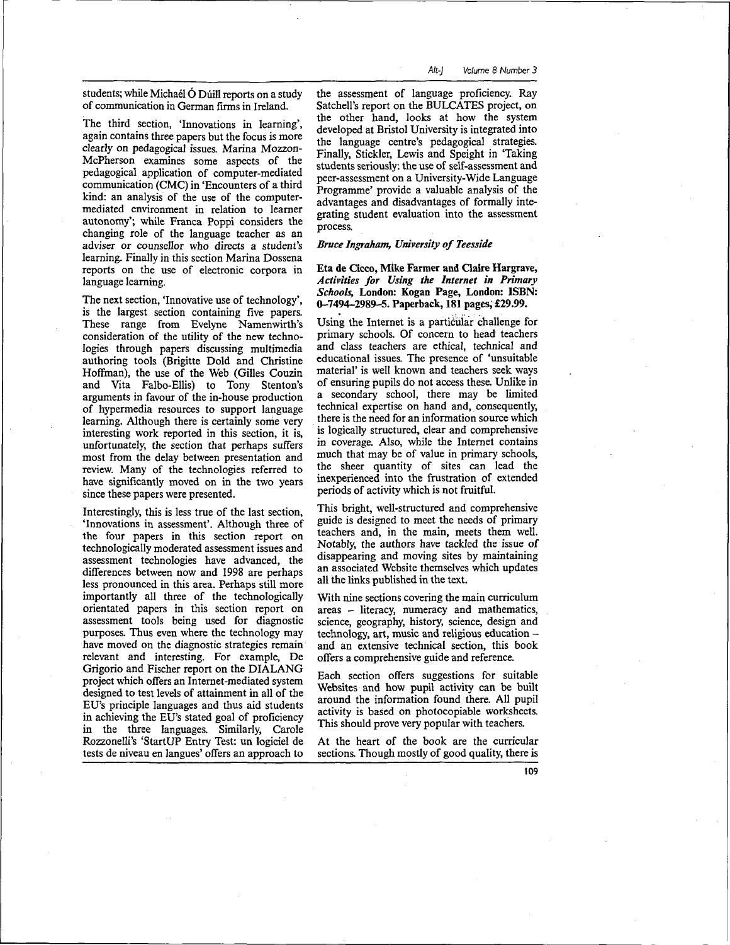students; while Michael O Dúill reports on a study of communication in German firms in Ireland.

The third section, 'Innovations in learning', again contains three papers but the focus is more clearly on pedagogical issues. Marina Mozzon-McPherson examines some aspects of the pedagogical application of computer-mediated communication (CMC) in 'Encounters of a third kind: an analysis of the use of the computermediated environment in relation to learner autonomy'; while Franca Poppi considers the changing role of the language teacher as an adviser or counsellor who directs a student's learning. Finally in this section Marina Dossena reports on the use of electronic corpora in language learning.

The next section, 'Innovative use of technology', is the largest section containing five papers. These range from Evelyne Namenwirth's consideration of the utility of the new technologies through papers discussing multimedia authoring tools (Brigitte Dold and Christine Hoffman), the use of the Web (Gilles Couzin and Vita Falbo-Ellis) to Tony Stenton's arguments in favour of the in-house production of hypermedia resources to support language learning. Although there is certainly some very interesting work reported in this section, it is, unfortunately, the section that perhaps suffers most from the delay between presentation and review. Many of the technologies referred to have significantly moved on in the two years since these papers were presented.

Interestingly, this is less true of the last section, 'Innovations in assessment'. Although three of the four papers in this section report on technologically moderated assessment issues and assessment technologies have advanced, the differences between now and 1998 are perhaps less pronounced in this area. Perhaps still more importantly all three of the technologically orientated papers in this section report on assessment tools being used for diagnostic purposes. Thus even where the technology may have moved on the diagnostic strategies remain relevant and interesting. For example, De Grigorio and Fischer report on the DIALANG project which offers an Internet-mediated system designed to test levels of attainment in all of the EU's principle languages and thus aid students in achieving the EU's stated goal of proficiency in the three languages. Similarly, Carole Rozzonelli's 'StartUP Entry Test: un logiciel de tests de niveau en langues' offers an approach to

the assessment of language proficiency. Ray Satchell's report on the BULCATES project, on the other hand, looks at how the system developed at Bristol University is integrated into the language centre's pedagogical strategies. Finally, Stickler, Lewis and Speight in 'Taking students seriously, the use of self-assessment and peer-assessment on a University-Wide Language Programme' provide a valuable analysis of the advantages and disadvantages of formally integrating student evaluation into the assessment process.

## *Bruce Ingraham, University of Teesside*

**Eta de Cicco, Mike Farmer and Claire Hargrave,** *Activities for Using the Internet in Primary Schools,* **London: Kogan Page, London: ISBN: 0-7494-2989-5. Paperback, 181 pages, £29.99.**

Using the Internet is a particular challenge for primary schools. Of concern to head teachers and class teachers are ethical, technical and educational issues. The presence of 'unsuitable material' is well known and teachers seek ways of ensuring pupils do not access these. Unlike in a secondary school, there may be limited technical expertise on hand and, consequently, there is the need for an information source which is logically structured, clear and comprehensive in coverage. Also, while the Internet contains much that may be of value in primary schools, the sheer quantity of sites can lead the inexperienced into the frustration of extended periods of activity which is not fruitful.

This bright, well-structured and comprehensive guide is designed to meet the needs of primary teachers and, in the main, meets them well. Notably, the authors have tackled the issue of disappearing and moving sites by maintaining an associated Website themselves which updates all the links published in the text.

With nine sections covering the main curriculum areas - literacy, numeracy and mathematics, science, geography, history, science, design and technology, art, music and religious education and an extensive technical section, this book offers a comprehensive guide and reference.

Each section offers suggestions for suitable Websites and how pupil activity can be built around the information found there. All pupil activity is based on photocopiable worksheets. This should prove very popular with teachers.

At the heart of the book are the curricular sections. Though mostly of good quality, there is

109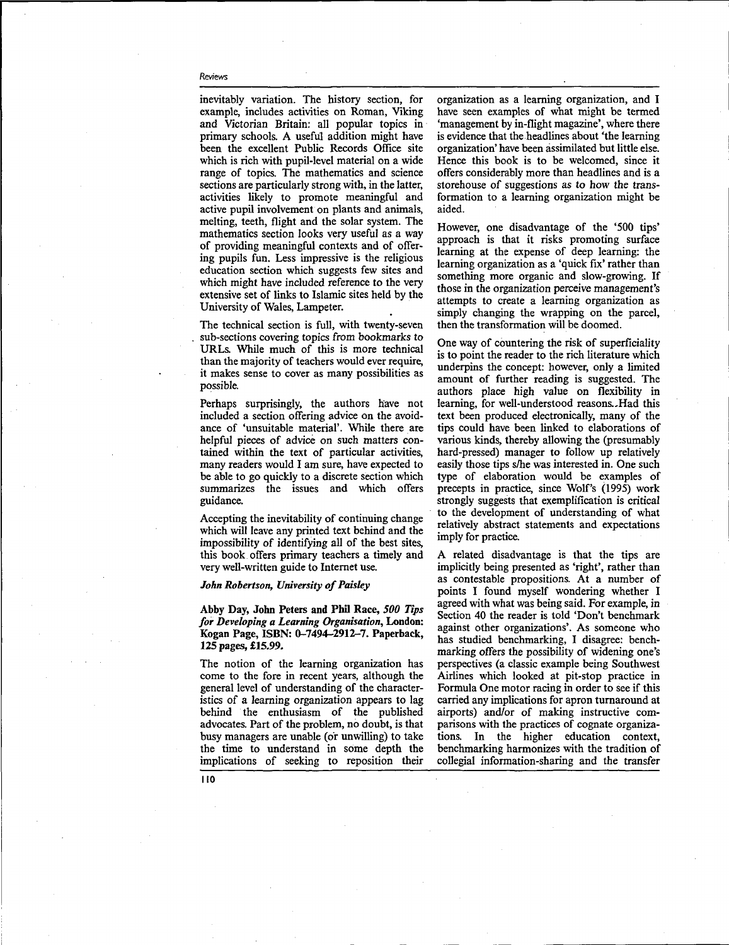inevitably variation. The history section, for example, includes activities on Roman, Viking and Victorian Britain: all popular topics in primary schools. A useful addition might have been the excellent Public Records Office site which is rich with pupil-level material on a wide range of topics. The mathematics and science sections are particularly strong with, in the latter, activities likely to promote meaningful and active pupil involvement on plants and animals, melting, teeth, flight and the solar system. The mathematics section looks very useful as a way of providing meaningful contexts and of offering pupils fun. Less impressive is the religious education section which suggests few sites and which might have included reference to the very extensive set of links to Islamic sites held by the University of Wales, Lampeter.

The technical section is full, with twenty-seven sub-sections covering topics from bookmarks to URLs. While much of this is more technical than the majority of teachers would ever require, it makes sense to cover as many possibilities as possible.

Perhaps surprisingly, the authors have not included a section offering advice on the avoidance of 'unsuitable material'. While there are helpful pieces of advice on such matters contained within the text of particular activities, many readers would I am sure, have expected to be able to go quickly to a discrete section which summarizes the issues and which offers guidance.

Accepting the inevitability of continuing change which will leave any printed text behind and the impossibility of identifying all of the best sites, this book offers primary teachers a timely and very well-written guide to Internet use.

# *John Robertson, University of Paisley*

**Abby Day, John Peters and Phil Race,** *500 Tips for Developing a Learning Organisation,* **London: Kogan Page, ISBN: 0-7494-2912-7. Paperback, 125 pages, £15.99.**

The notion of the learning organization has come to the fore in recent years, although the general level of understanding of the characteristics of a learning organization appears to lag behind the enthusiasm of the published advocates. Part of the problem, no doubt, is that busy managers are unable (or unwilling) to take the time to understand in some depth the implications of seeking to reposition their organization as a learning organization, and I have seen examples of what might be termed 'management by in-flight magazine', where there is evidence that the headlines about 'the learning organization' have been assimilated but little else. Hence this book is to be welcomed, since it offers considerably more than headlines and is a storehouse of suggestions as to how the transformation to a learning organization might be aided.

However, one disadvantage of the '500 tips' approach is that it risks promoting surface learning at the expense of deep learning: the learning organization as a 'quick fix' rather than something more organic and slow-growing. If those in the organization perceive management's attempts to create a learning organization as simply changing the wrapping on the parcel, then the transformation will be doomed.

One way of countering the risk of superficiality is to point the reader to the rich literature which underpins the concept: however, only a limited amount of further reading is suggested. The authors place high value on flexibility in learning, for well-understood reasons.-Had this text been produced electronically, many of the tips could have been linked to elaborations of various kinds, thereby allowing the (presumably hard-pressed) manager to follow up relatively easily those tips s/he was interested in. One such type of elaboration would be examples of precepts in practice, since Wolf's (1995) work strongly suggests that exemplification is critical to the development of understanding of what relatively abstract statements and expectations imply for practice.

A related disadvantage is that the tips are implicitly being presented as 'right', rather than as contestable propositions. At a number of points I found myself wondering whether I agreed with what was being said. For example, in Section 40 the reader is told 'Don't benchmark against other organizations'. As someone who has studied benchmarking, I disagree: benchmarking offers the possibility of widening one's perspectives (a classic example being Southwest Airlines which looked at pit-stop practice in Formula One motor racing in order to see if this carried any implications for apron turnaround at airports) and/or of making instructive comparisons with the practices of cognate organizations. In the higher education context, benchmarking harmonizes with the tradition of collegial information-sharing and the transfer

**110**